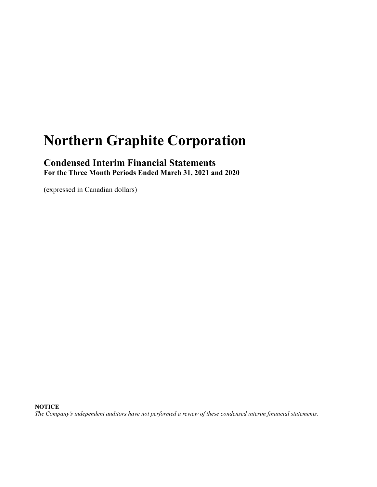# **Northern Graphite Corporation**

### **Condensed Interim Financial Statements For the Three Month Periods Ended March 31, 2021 and 2020**

(expressed in Canadian dollars)

**NOTICE**

*The Company's independent auditors have not performed a review of these condensed interim financial statements.*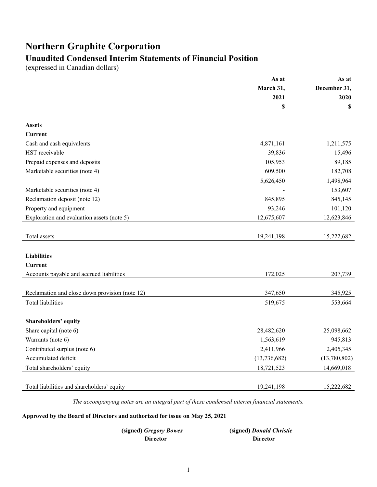# **Northern Graphite Corporation**

# **Unaudited Condensed Interim Statements of Financial Position**

(expressed in Canadian dollars)

|                                                | As at          | As at        |
|------------------------------------------------|----------------|--------------|
|                                                | March 31,      | December 31, |
|                                                | 2021           | 2020         |
|                                                | \$             | \$           |
| <b>Assets</b>                                  |                |              |
| Current                                        |                |              |
| Cash and cash equivalents                      | 4,871,161      | 1,211,575    |
| HST receivable                                 | 39,836         | 15,496       |
| Prepaid expenses and deposits                  | 105,953        | 89,185       |
| Marketable securities (note 4)                 | 609,500        | 182,708      |
|                                                | 5,626,450      | 1,498,964    |
| Marketable securities (note 4)                 |                | 153,607      |
| Reclamation deposit (note 12)                  | 845,895        | 845,145      |
| Property and equipment                         | 93,246         | 101,120      |
| Exploration and evaluation assets (note 5)     | 12,675,607     | 12,623,846   |
|                                                |                |              |
| Total assets                                   | 19,241,198     | 15,222,682   |
|                                                |                |              |
| <b>Liabilities</b>                             |                |              |
| <b>Current</b>                                 |                |              |
| Accounts payable and accrued liabilities       | 172,025        | 207,739      |
|                                                |                |              |
| Reclamation and close down provision (note 12) | 347,650        | 345,925      |
| Total liabilities                              | 519,675        | 553,664      |
|                                                |                |              |
| <b>Shareholders' equity</b>                    |                |              |
| Share capital (note 6)                         | 28,482,620     | 25,098,662   |
| Warrants (note 6)                              | 1,563,619      | 945,813      |
| Contributed surplus (note 6)                   | 2,411,966      | 2,405,345    |
| Accumulated deficit                            | (13, 736, 682) | (13,780,802) |
| Total shareholders' equity                     | 18,721,523     | 14,669,018   |
|                                                |                |              |
| Total liabilities and shareholders' equity     | 19,241,198     | 15,222,682   |

*The accompanying notes are an integral part of these condensed interim financial statements.*

#### **Approved by the Board of Directors and authorized for issue on May 25, 2021**

| (signed) Gregory Bowes | (signed) Donald Christie |
|------------------------|--------------------------|
| Director               | <b>Director</b>          |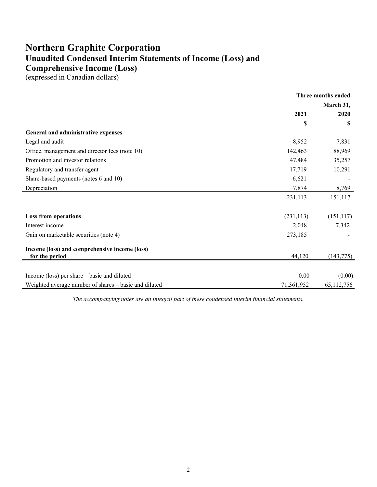# **Northern Graphite Corporation Unaudited Condensed Interim Statements of Income (Loss) and Comprehensive Income (Loss)**

(expressed in Canadian dollars)

|                                                                 | Three months ended |            |
|-----------------------------------------------------------------|--------------------|------------|
|                                                                 |                    | March 31,  |
|                                                                 | 2021               | 2020       |
|                                                                 | \$                 | \$         |
| General and administrative expenses                             |                    |            |
| Legal and audit                                                 | 8,952              | 7,831      |
| Office, management and director fees (note 10)                  | 142,463            | 88,969     |
| Promotion and investor relations                                | 47,484             | 35,257     |
| Regulatory and transfer agent                                   | 17,719             | 10,291     |
| Share-based payments (notes 6 and 10)                           | 6,621              |            |
| Depreciation                                                    | 7,874              | 8,769      |
|                                                                 | 231,113            | 151,117    |
|                                                                 |                    |            |
| <b>Loss from operations</b>                                     | (231, 113)         | (151, 117) |
| Interest income                                                 | 2,048              | 7,342      |
| Gain on marketable securities (note 4)                          | 273,185            |            |
| Income (loss) and comprehensive income (loss)<br>for the period | 44,120             | (143, 775) |
|                                                                 |                    |            |
| Income (loss) per share – basic and diluted                     | 0.00               | (0.00)     |
| Weighted average number of shares – basic and diluted           | 71,361,952         | 65,112,756 |

*The accompanying notes are an integral part of these condensed interim financial statements.*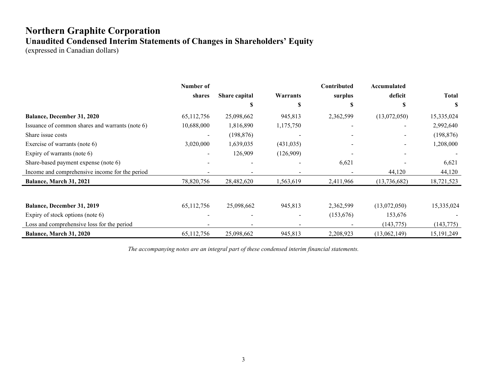# **Northern Graphite Corporation Unaudited Condensed Interim Statements of Changes in Shareholders' Equity**

(expressed in Canadian dollars)

|                                                 | Number of  |               |            | Contributed | Accumulated  |              |
|-------------------------------------------------|------------|---------------|------------|-------------|--------------|--------------|
|                                                 | shares     | Share capital | Warrants   | surplus     | deficit      | <b>Total</b> |
|                                                 |            |               | S          |             |              | S            |
| Balance, December 31, 2020                      | 65,112,756 | 25,098,662    | 945,813    | 2,362,599   | (13,072,050) | 15,335,024   |
| Issuance of common shares and warrants (note 6) | 10,688,000 | 1,816,890     | 1,175,750  |             |              | 2,992,640    |
| Share issue costs                               |            | (198, 876)    |            |             |              | (198, 876)   |
| Exercise of warrants (note 6)                   | 3,020,000  | 1,639,035     | (431, 035) |             |              | 1,208,000    |
| Expiry of warrants (note 6)                     |            | 126,909       | (126,909)  |             |              |              |
| Share-based payment expense (note 6)            |            |               |            | 6,621       |              | 6,621        |
| Income and comprehensive income for the period  |            |               |            |             | 44,120       | 44,120       |
| Balance, March 31, 2021                         | 78,820,756 | 28,482,620    | 1,563,619  | 2,411,966   | (13,736,682) | 18,721,523   |
|                                                 |            |               |            |             |              |              |
| Balance, December 31, 2019                      | 65,112,756 | 25,098,662    | 945,813    | 2,362,599   | (13,072,050) | 15,335,024   |
| Expiry of stock options (note 6)                |            |               |            | (153, 676)  | 153,676      |              |
| Loss and comprehensive loss for the period      |            |               |            |             | (143, 775)   | (143, 775)   |
| Balance, March 31, 2020                         | 65,112,756 | 25,098,662    | 945,813    | 2,208,923   | (13,062,149) | 15, 191, 249 |

*The accompanying notes are an integral part of these condensed interim financial statements.*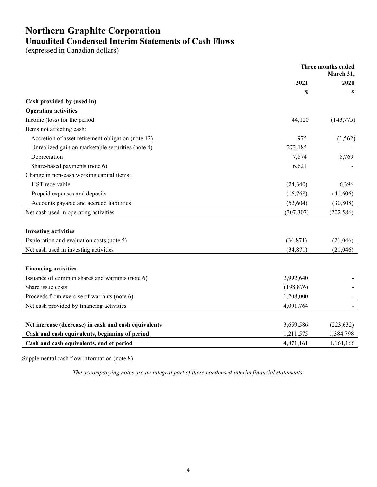# **Northern Graphite Corporation Unaudited Condensed Interim Statements of Cash Flows**

(expressed in Canadian dollars)

|                                                      | Three months ended<br>March 31, |            |
|------------------------------------------------------|---------------------------------|------------|
|                                                      | 2021                            | 2020       |
|                                                      | \$                              | S          |
| Cash provided by (used in)                           |                                 |            |
| <b>Operating activities</b>                          |                                 |            |
| Income (loss) for the period                         | 44,120                          | (143, 775) |
| Items not affecting cash:                            |                                 |            |
| Accretion of asset retirement obligation (note 12)   | 975                             | (1, 562)   |
| Unrealized gain on marketable securities (note 4)    | 273,185                         |            |
| Depreciation                                         | 7,874                           | 8,769      |
| Share-based payments (note 6)                        | 6,621                           |            |
| Change in non-cash working capital items:            |                                 |            |
| HST receivable                                       | (24, 340)                       | 6,396      |
| Prepaid expenses and deposits                        | (16,768)                        | (41,606)   |
| Accounts payable and accrued liabilities             | (52, 604)                       | (30, 808)  |
| Net cash used in operating activities                | (307, 307)                      | (202, 586) |
|                                                      |                                 |            |
| <b>Investing activities</b>                          |                                 |            |
| Exploration and evaluation costs (note 5)            | (34, 871)                       | (21,046)   |
| Net cash used in investing activities                | (34,871)                        | (21,046)   |
|                                                      |                                 |            |
| <b>Financing activities</b>                          |                                 |            |
| Issuance of common shares and warrants (note 6)      | 2,992,640                       |            |
| Share issue costs                                    | (198, 876)                      |            |
| Proceeds from exercise of warrants (note 6)          | 1,208,000                       |            |
| Net cash provided by financing activities            | 4,001,764                       |            |
|                                                      |                                 |            |
| Net increase (decrease) in cash and cash equivalents | 3,659,586                       | (223, 632) |
| Cash and cash equivalents, beginning of period       | 1,211,575                       | 1,384,798  |
| Cash and cash equivalents, end of period             | 4,871,161                       | 1,161,166  |

Supplemental cash flow information (note 8)

*The accompanying notes are an integral part of these condensed interim financial statements.*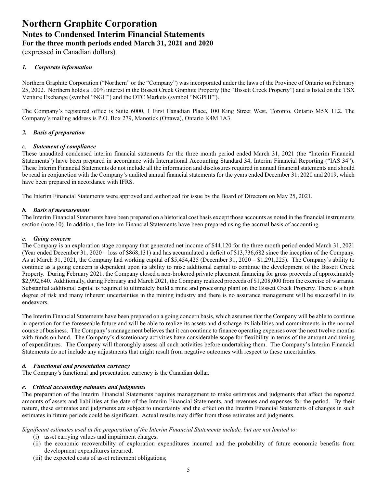(expressed in Canadian dollars)

#### *1. Corporate information*

Northern Graphite Corporation ("Northern" or the "Company") was incorporated under the laws of the Province of Ontario on February 25, 2002. Northern holds a 100% interest in the Bissett Creek Graphite Property (the "Bissett Creek Property") and is listed on the TSX Venture Exchange (symbol "NGC") and the OTC Markets (symbol "NGPHF").

The Company's registered office is Suite 6000, 1 First Canadian Place, 100 King Street West, Toronto, Ontario M5X 1E2. The Company's mailing address is P.O. Box 279, Manotick (Ottawa), Ontario K4M 1A3.

#### *2. Basis of preparation*

#### a. *Statement of compliance*

These unaudited condensed interim financial statements for the three month period ended March 31, 2021 (the "Interim Financial Statements") have been prepared in accordance with International Accounting Standard 34, Interim Financial Reporting ("IAS 34"). These Interim Financial Statements do not include all the information and disclosures required in annual financial statements and should be read in conjunction with the Company's audited annual financial statements for the years ended December 31, 2020 and 2019, which have been prepared in accordance with IFRS.

The Interim Financial Statements were approved and authorized for issue by the Board of Directors on May 25, 2021.

#### *b. Basis of measurement*

The Interim Financial Statements have been prepared on a historical cost basis except those accounts as noted in the financial instruments section (note 10). In addition, the Interim Financial Statements have been prepared using the accrual basis of accounting.

#### *c. Going concern*

The Company is an exploration stage company that generated net income of \$44,120 for the three month period ended March 31, 2021 (Year ended December 31, 2020 – loss of \$868,131) and has accumulated a deficit of \$13,736,682 since the inception of the Company. As at March 31, 2021, the Company had working capital of \$5,454,425 (December 31, 2020 – \$1,291,225). The Company's ability to continue as a going concern is dependent upon its ability to raise additional capital to continue the development of the Bissett Creek Property. During February 2021, the Company closed a non-brokered private placement financing for gross proceeds of approximately \$2,992,640. Additionally, during February and March 2021, the Company realized proceeds of \$1,208,000 from the exercise of warrants. Substantial additional capital is required to ultimately build a mine and processing plant on the Bissett Creek Property. There is a high degree of risk and many inherent uncertainties in the mining industry and there is no assurance management will be successful in its endeavors.

The Interim Financial Statements have been prepared on a going concern basis, which assumes that the Company will be able to continue in operation for the foreseeable future and will be able to realize its assets and discharge its liabilities and commitments in the normal course of business. The Company's management believes that it can continue to finance operating expenses over the next twelve months with funds on hand. The Company's discretionary activities have considerable scope for flexibility in terms of the amount and timing of expenditures. The Company will thoroughly assess all such activities before undertaking them. The Company's Interim Financial Statements do not include any adjustments that might result from negative outcomes with respect to these uncertainties.

#### *d. Functional and presentation currency*

The Company's functional and presentation currency is the Canadian dollar.

#### *e. Critical accounting estimates and judgments*

The preparation of the Interim Financial Statements requires management to make estimates and judgments that affect the reported amounts of assets and liabilities at the date of the Interim Financial Statements, and revenues and expenses for the period. By their nature, these estimates and judgments are subject to uncertainty and the effect on the Interim Financial Statements of changes in such estimates in future periods could be significant. Actual results may differ from those estimates and judgments.

#### *Significant estimates used in the preparation of the Interim Financial Statements include, but are not limited to:*

- (i) asset carrying values and impairment charges;
- (ii) the economic recoverability of exploration expenditures incurred and the probability of future economic benefits from development expenditures incurred;
- (iii) the expected costs of asset retirement obligations;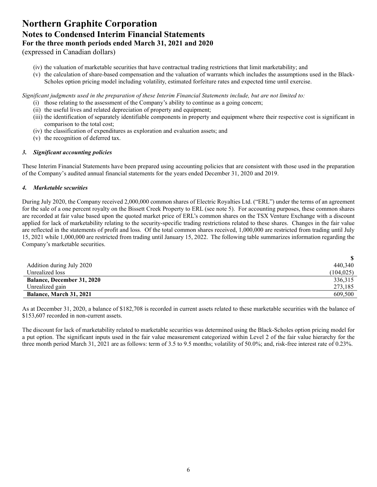(expressed in Canadian dollars)

- (iv) the valuation of marketable securities that have contractual trading restrictions that limit marketability; and
- (v) the calculation of share-based compensation and the valuation of warrants which includes the assumptions used in the Black-Scholes option pricing model including volatility, estimated forfeiture rates and expected time until exercise.

*Significant judgments used in the preparation of these Interim Financial Statements include, but are not limited to:* 

- (i) those relating to the assessment of the Company's ability to continue as a going concern;
- (ii) the useful lives and related depreciation of property and equipment;
- (iii) the identification of separately identifiable components in property and equipment where their respective cost is significant in comparison to the total cost;
- (iv) the classification of expenditures as exploration and evaluation assets; and
- (v) the recognition of deferred tax.

#### *3. Significant accounting policies*

These Interim Financial Statements have been prepared using accounting policies that are consistent with those used in the preparation of the Company's audited annual financial statements for the years ended December 31, 2020 and 2019.

#### *4. Marketable securities*

During July 2020, the Company received 2,000,000 common shares of Electric Royalties Ltd. ("ERL") under the terms of an agreement for the sale of a one percent royalty on the Bissett Creek Property to ERL (see note 5). For accounting purposes, these common shares are recorded at fair value based upon the quoted market price of ERL's common shares on the TSX Venture Exchange with a discount applied for lack of marketability relating to the security-specific trading restrictions related to these shares. Changes in the fair value are reflected in the statements of profit and loss. Of the total common shares received, 1,000,000 are restricted from trading until July 15, 2021 while 1,000,000 are restricted from trading until January 15, 2022. The following table summarizes information regarding the Company's marketable securities.

| Addition during July 2020         | 440.340    |
|-----------------------------------|------------|
| Unrealized loss                   | (104, 025) |
| <b>Balance, December 31, 2020</b> | 336,315    |
| Unrealized gain                   | 273,185    |
| <b>Balance, March 31, 2021</b>    | 609,500    |

As at December 31, 2020, a balance of \$182,708 is recorded in current assets related to these marketable securities with the balance of \$153,607 recorded in non-current assets.

The discount for lack of marketability related to marketable securities was determined using the Black-Scholes option pricing model for a put option. The significant inputs used in the fair value measurement categorized within Level 2 of the fair value hierarchy for the three month period March 31, 2021 are as follows: term of 3.5 to 9.5 months; volatility of 50.0%; and, risk-free interest rate of 0.23%.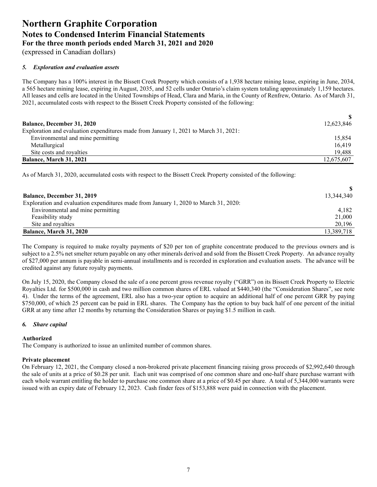(expressed in Canadian dollars)

#### *5. Exploration and evaluation assets*

The Company has a 100% interest in the Bissett Creek Property which consists of a 1,938 hectare mining lease, expiring in June, 2034, a 565 hectare mining lease, expiring in August, 2035, and 52 cells under Ontario's claim system totaling approximately 1,159 hectares. All leases and cells are located in the United Townships of Head, Clara and Maria, in the County of Renfrew, Ontario. As of March 31, 2021, accumulated costs with respect to the Bissett Creek Property consisted of the following:

| <b>Balance, December 31, 2020</b>                                                    | 12,623,846 |
|--------------------------------------------------------------------------------------|------------|
| Exploration and evaluation expenditures made from January 1, 2021 to March 31, 2021: |            |
| Environmental and mine permitting                                                    | 15.854     |
| Metallurgical                                                                        | 16.419     |
| Site costs and royalties                                                             | 19.488     |
| Balance, March 31, 2021                                                              | 12,675,607 |

As of March 31, 2020, accumulated costs with respect to the Bissett Creek Property consisted of the following:

| <b>Balance, December 31, 2019</b>                                                    | 13,344,340 |
|--------------------------------------------------------------------------------------|------------|
| Exploration and evaluation expenditures made from January 1, 2020 to March 31, 2020: |            |
| Environmental and mine permitting                                                    | 4.182      |
| Feasibility study                                                                    | 21,000     |
| Site and royalties                                                                   | 20,196     |
| <b>Balance, March 31, 2020</b>                                                       | 13,389,718 |

The Company is required to make royalty payments of \$20 per ton of graphite concentrate produced to the previous owners and is subject to a 2.5% net smelter return payable on any other minerals derived and sold from the Bissett Creek Property. An advance royalty of \$27,000 per annum is payable in semi-annual installments and is recorded in exploration and evaluation assets. The advance will be credited against any future royalty payments.

On July 15, 2020, the Company closed the sale of a one percent gross revenue royalty ("GRR") on its Bissett Creek Property to Electric Royalties Ltd. for \$500,000 in cash and two million common shares of ERL valued at \$440,340 (the "Consideration Shares", see note 4). Under the terms of the agreement, ERL also has a two-year option to acquire an additional half of one percent GRR by paying \$750,000, of which 25 percent can be paid in ERL shares. The Company has the option to buy back half of one percent of the initial GRR at any time after 12 months by returning the Consideration Shares or paying \$1.5 million in cash.

#### *6. Share capital*

#### **Authorized**

The Company is authorized to issue an unlimited number of common shares.

#### **Private placement**

On February 12, 2021, the Company closed a non-brokered private placement financing raising gross proceeds of \$2,992,640 through the sale of units at a price of \$0.28 per unit. Each unit was comprised of one common share and one-half share purchase warrant with each whole warrant entitling the holder to purchase one common share at a price of \$0.45 per share. A total of 5,344,000 warrants were issued with an expiry date of February 12, 2023. Cash finder fees of \$153,888 were paid in connection with the placement.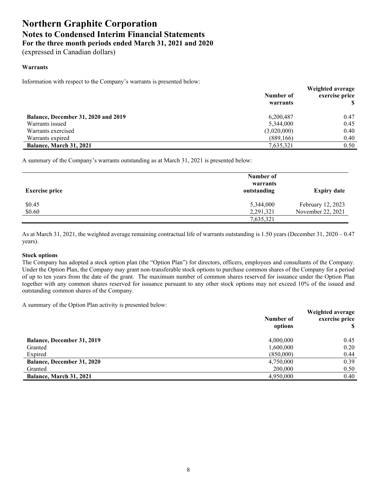(expressed in Canadian dollars)

#### **Warrants**

Information with respect to the Company's warrants is presented below:

|                                     | Number of<br>warrants | Weighted average<br>exercise price |
|-------------------------------------|-----------------------|------------------------------------|
| Balance, December 31, 2020 and 2019 | 6,200,487             | 0.47                               |
| Warrants issued                     | 5,344,000             | 0.45                               |
| Warrants exercised                  | (3,020,000)           | 0.40                               |
| Warrants expired                    | (889,166)             | 0.40                               |
| Balance, March 31, 2021             | 7,635,321             | 0.50                               |

A summary of the Company's warrants outstanding as at March 31, 2021 is presented below:

| <b>Exercise price</b> | Number of<br>warrants<br>outstanding | <b>Expiry date</b> |
|-----------------------|--------------------------------------|--------------------|
| \$0.45                | 5,344,000                            | February 12, 2023  |
| \$0.60                | 2,291,321                            | November 22, 2021  |
|                       | 7,635,321                            |                    |

As at March 31, 2021, the weighted average remaining contractual life of warrants outstanding is 1.50 years (December 31, 2020 – 0.47 years).

#### **Stock options**

The Company has adopted a stock option plan (the "Option Plan") for directors, officers, employees and consultants of the Company. Under the Option Plan, the Company may grant non-transferable stock options to purchase common shares of the Company for a period of up to ten years from the date of the grant. The maximum number of common shares reserved for issuance under the Option Plan together with any common shares reserved for issuance pursuant to any other stock options may not exceed 10% of the issued and outstanding common shares of the Company.

A summary of the Option Plan activity is presented below:

|                                   | Number of<br>options | Weighted average<br>exercise price |
|-----------------------------------|----------------------|------------------------------------|
| <b>Balance, December 31, 2019</b> | 4,000,000            | 0.45                               |
| Granted                           | 1,600,000            | 0.20                               |
| Expired                           | (850,000)            | 0.44                               |
| <b>Balance, December 31, 2020</b> | 4,750,000            | 0.39                               |
| Granted                           | 200,000              | 0.50                               |
| Balance, March 31, 2021           | 4,950,000            | 0.40                               |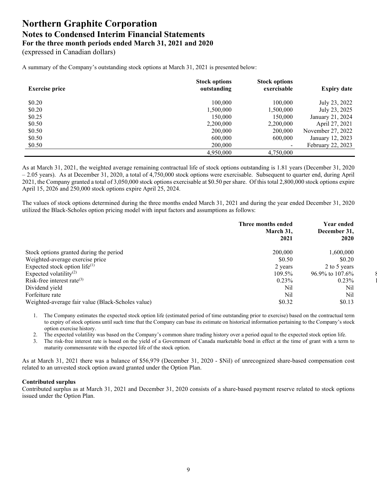(expressed in Canadian dollars)

A summary of the Company's outstanding stock options at March 31, 2021 is presented below:

| <b>Exercise price</b> | <b>Stock options</b><br>outstanding | <b>Stock options</b><br>exercisable | <b>Expiry date</b> |
|-----------------------|-------------------------------------|-------------------------------------|--------------------|
| \$0.20                | 100,000                             | 100,000                             | July 23, 2022      |
| \$0.20                | 1,500,000                           | 1,500,000                           | July 23, 2025      |
| \$0.25                | 150,000                             | 150.000                             | January 21, 2024   |
| \$0.50                | 2,200,000                           | 2,200,000                           | April 27, 2021     |
| \$0.50                | 200,000                             | 200,000                             | November 27, 2022  |
| \$0.50                | 600,000                             | 600,000                             | January 12, 2023   |
| \$0.50                | 200,000                             | $\overline{\phantom{0}}$            | February 22, 2023  |
|                       | 4,950,000                           | 4,750,000                           |                    |

As at March 31, 2021, the weighted average remaining contractual life of stock options outstanding is 1.81 years (December 31, 2020 – 2.05 years). As at December 31, 2020, a total of 4,750,000 stock options were exercisable. Subsequent to quarter end, during April 2021, the Company granted a total of 3,050,000 stock options exercisable at \$0.50 per share. Of this total 2,800,000 stock options expire April 15, 2026 and 250,000 stock options expire April 25, 2024.

The values of stock options determined during the three months ended March 31, 2021 and during the year ended December 31, 2020 utilized the Black-Scholes option pricing model with input factors and assumptions as follows:

|                                                   | Three months ended<br>March 31,<br>2021 | <b>Year ended</b><br>December 31,<br>2020 |  |
|---------------------------------------------------|-----------------------------------------|-------------------------------------------|--|
| Stock options granted during the period           | 200,000                                 | 1,600,000                                 |  |
| Weighted-average exercise price                   | \$0.50                                  | \$0.20                                    |  |
| Expected stock option life $(1)$                  | 2 years                                 | 2 to 5 years                              |  |
| Expected volatility <sup>(2)</sup>                | 109.5%                                  | $96.9\%$ to $107.6\%$                     |  |
| Risk-free interest rate $(3)$                     | $0.23\%$                                | $0.23\%$                                  |  |
| Dividend yield                                    | Nil                                     | Nil                                       |  |
| Forfeiture rate                                   | Nil                                     | Nil                                       |  |
| Weighted-average fair value (Black-Scholes value) | \$0.32                                  | \$0.13                                    |  |
|                                                   |                                         |                                           |  |

1. The Company estimates the expected stock option life (estimated period of time outstanding prior to exercise) based on the contractual term to expiry of stock options until such time that the Company can base its estimate on historical information pertaining to the Company's stock option exercise history.

- 2. The expected volatility was based on the Company's common share trading history over a period equal to the expected stock option life.
- 3. The risk-free interest rate is based on the yield of a Government of Canada marketable bond in effect at the time of grant with a term to maturity commensurate with the expected life of the stock option.

As at March 31, 2021 there was a balance of \$56,979 (December 31, 2020 - \$Nil) of unrecognized share-based compensation cost related to an unvested stock option award granted under the Option Plan.

#### **Contributed surplus**

Contributed surplus as at March 31, 2021 and December 31, 2020 consists of a share-based payment reserve related to stock options issued under the Option Plan.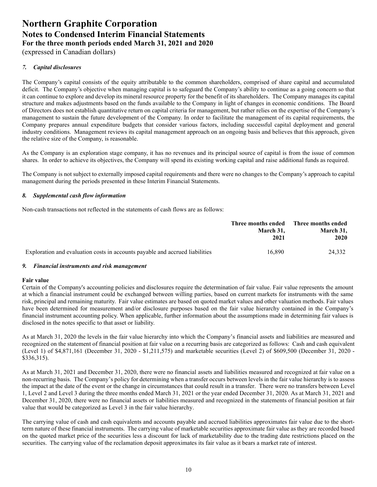(expressed in Canadian dollars)

#### *7. Capital disclosures*

The Company's capital consists of the equity attributable to the common shareholders, comprised of share capital and accumulated deficit. The Company's objective when managing capital is to safeguard the Company's ability to continue as a going concern so that it can continue to explore and develop its mineral resource property for the benefit of its shareholders. The Company manages its capital structure and makes adjustments based on the funds available to the Company in light of changes in economic conditions. The Board of Directors does not establish quantitative return on capital criteria for management, but rather relies on the expertise of the Company's management to sustain the future development of the Company. In order to facilitate the management of its capital requirements, the Company prepares annual expenditure budgets that consider various factors, including successful capital deployment and general industry conditions. Management reviews its capital management approach on an ongoing basis and believes that this approach, given the relative size of the Company, is reasonable.

As the Company is an exploration stage company, it has no revenues and its principal source of capital is from the issue of common shares. In order to achieve its objectives, the Company will spend its existing working capital and raise additional funds as required.

The Company is not subject to externally imposed capital requirements and there were no changes to the Company's approach to capital management during the periods presented in these Interim Financial Statements.

#### *8. Supplemental cash flow information*

Non-cash transactions not reflected in the statements of cash flows are as follows:

|                                                                              | Three months ended Three months ended |           |  |  |
|------------------------------------------------------------------------------|---------------------------------------|-----------|--|--|
|                                                                              | March 31.                             | March 31, |  |  |
|                                                                              | 2021                                  | 2020      |  |  |
| Exploration and evaluation costs in accounts payable and accrued liabilities | 16.890                                | 24.332    |  |  |

#### *9. Financial instruments and risk management*

#### **Fair value**

Certain of the Company's accounting policies and disclosures require the determination of fair value. Fair value represents the amount at which a financial instrument could be exchanged between willing parties, based on current markets for instruments with the same risk, principal and remaining maturity. Fair value estimates are based on quoted market values and other valuation methods. Fair values have been determined for measurement and/or disclosure purposes based on the fair value hierarchy contained in the Company's financial instrument accounting policy. When applicable, further information about the assumptions made in determining fair values is disclosed in the notes specific to that asset or liability.

As at March 31, 2020 the levels in the fair value hierarchy into which the Company's financial assets and liabilities are measured and recognized on the statement of financial position at fair value on a recurring basis are categorized as follows: Cash and cash equivalent (Level 1) of \$4,871,161 (December 31, 2020 - \$1,211,575) and marketable securities (Level 2) of \$609,500 (December 31, 2020 - \$336,315).

As at March 31, 2021 and December 31, 2020, there were no financial assets and liabilities measured and recognized at fair value on a non-recurring basis. The Company's policy for determining when a transfer occurs between levels in the fair value hierarchy is to assess the impact at the date of the event or the change in circumstances that could result in a transfer. There were no transfers between Level 1, Level 2 and Level 3 during the three months ended March 31, 2021 or the year ended December 31, 2020. As at March 31, 2021 and December 31, 2020, there were no financial assets or liabilities measured and recognized in the statements of financial position at fair value that would be categorized as Level 3 in the fair value hierarchy.

The carrying value of cash and cash equivalents and accounts payable and accrued liabilities approximates fair value due to the shortterm nature of these financial instruments. The carrying value of marketable securities approximate fair value as they are recorded based on the quoted market price of the securities less a discount for lack of marketability due to the trading date restrictions placed on the securities. The carrying value of the reclamation deposit approximates its fair value as it bears a market rate of interest.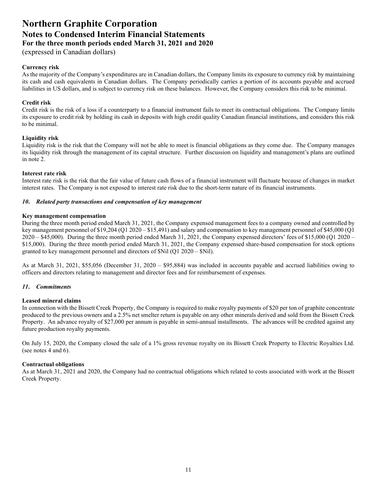(expressed in Canadian dollars)

#### **Currency risk**

As the majority of the Company's expenditures are in Canadian dollars, the Company limits its exposure to currency risk by maintaining its cash and cash equivalents in Canadian dollars. The Company periodically carries a portion of its accounts payable and accrued liabilities in US dollars, and is subject to currency risk on these balances. However, the Company considers this risk to be minimal.

#### **Credit risk**

Credit risk is the risk of a loss if a counterparty to a financial instrument fails to meet its contractual obligations. The Company limits its exposure to credit risk by holding its cash in deposits with high credit quality Canadian financial institutions, and considers this risk to be minimal.

#### **Liquidity risk**

Liquidity risk is the risk that the Company will not be able to meet is financial obligations as they come due. The Company manages its liquidity risk through the management of its capital structure. Further discussion on liquidity and management's plans are outlined in note 2.

#### **Interest rate risk**

Interest rate risk is the risk that the fair value of future cash flows of a financial instrument will fluctuate because of changes in market interest rates. The Company is not exposed to interest rate risk due to the short-term nature of its financial instruments.

#### *10***.** *Related party transactions and compensation of key management*

#### **Key management compensation**

During the three month period ended March 31, 2021, the Company expensed management fees to a company owned and controlled by key management personnel of \$19,204 (Q1 2020 – \$15,491) and salary and compensation to key management personnel of \$45,000 (Q1 2020 – \$45,000). During the three month period ended March 31, 2021, the Company expensed directors' fees of \$15,000 (Q1 2020 – \$15,000). During the three month period ended March 31, 2021, the Company expensed share-based compensation for stock options granted to key management personnel and directors of  $Nil$  (O1 2020 –  $Nil$ ).

As at March 31, 2021, \$55,056 (December 31, 2020 – \$95,884) was included in accounts payable and accrued liabilities owing to officers and directors relating to management and director fees and for reimbursement of expenses.

#### *11***.** *Commitments*

#### **Leased mineral claims**

In connection with the Bissett Creek Property, the Company is required to make royalty payments of \$20 per ton of graphite concentrate produced to the previous owners and a 2.5% net smelter return is payable on any other minerals derived and sold from the Bissett Creek Property. An advance royalty of \$27,000 per annum is payable in semi-annual installments. The advances will be credited against any future production royalty payments.

On July 15, 2020, the Company closed the sale of a 1% gross revenue royalty on its Bissett Creek Property to Electric Royalties Ltd. (see notes 4 and 6).

#### **Contractual obligations**

As at March 31, 2021 and 2020, the Company had no contractual obligations which related to costs associated with work at the Bissett Creek Property.